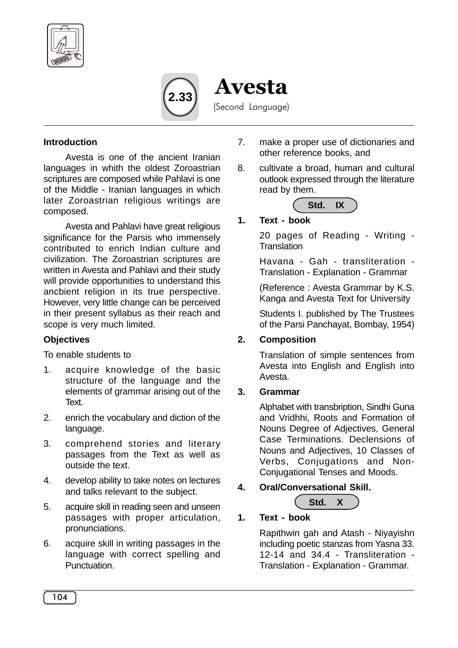



Avesta (Second Language)

#### **Introduction**

Avesta is one of the ancient Iranian languages in whith the oldest Zoroastrian scriptures are composed while Pahlavi is one of the Middle - Iranian languages in which later Zoroastrian religious writings are composed.

Avesta and Pahlavi have great religious significance for the Parsis who immensely contributed to enrich Indian culture and civilization. The Zoroastrian scriptures are written in Avesta and Pahlavi and their study will provide opportunities to understand this ancbient religion in its true perspective. However, very little change can be perceived in their present syllabus as their reach and scope is very much limited.

### **Objectives**

To enable students to

- 1. acquire knowledge of the basic structure of the language and the elements of grammar arising out of the Text.
- 2. enrich the vocabulary and diction of the language.
- 3. comprehend stories and literary passages from the Text as well as outside the text.
- 4. develop ability to take notes on lectures and talks relevant to the subject.
- 5. acquire skill in reading seen and unseen passages with proper articulation, pronunciations.
- 6. acquire skill in writing passages in the language with correct spelling and Punctuation.
- 7. make a proper use of dictionaries and other reference books, and
- 8. cultivate a broad, human and cultural outlook expressed through the literature read by them.



## **1. Text - book**

20 pages of Reading - Writing - **Translation** 

Havana - Gah - transliteration - Translation - Explanation - Grammar

(Reference : Avesta Grammar by K.S. Kanga and Avesta Text for University

Students I. published by The Trustees of the Parsi Panchayat, Bombay, 1954)

#### **2. Composition**

Translation of simple sentences from Avesta into English and English into Avesta.

#### **3. Grammar**

Alphabet with transbription, Sindhi Guna and Vridhhi, Roots and Formation of Nouns Degree of Adjectives, General Case Terminations. Declensions of Nouns and Adjectives, 10 Classes of Verbs, Conjugations and Non-Conjugational Tenses and Moods.

**4. Oral/Conversational Skill.**



# **1. Text - book**

Rapithwin gah and Atash - Niyayishn including poetic stanzas from Yasna 33. 12-14 and 34.4 - Transliteration - Translation - Explanation - Grammar.